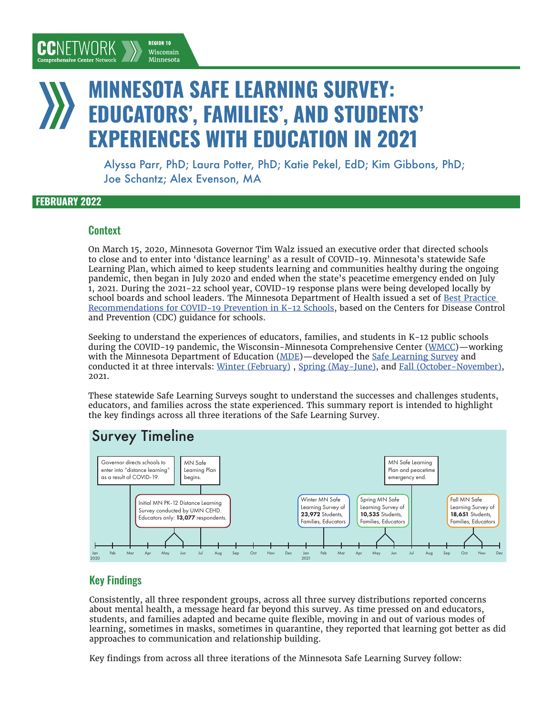## MINNESOTA SAFE LEARNING SURVEY: EDUCATORS', FAMILIES', AND STUDENTS' EXPERIENCES WITH EDUCATION IN 2021

**REGION 10** 

Wisconsin Minnesota

Alyssa Parr, PhD; Laura Potter, PhD; Katie Pekel, EdD; Kim Gibbons, PhD; Joe Schantz; Alex Evenson, MA

#### FEBRUARY 2022

CCNFTWORK

#### **Context**

On March 15, 2020, Minnesota Governor Tim Walz issued an executive order that directed schools to close and to enter into 'distance learning' as a result of COVID-19. Minnesota's statewide Safe Learning Plan, which aimed to keep students learning and communities healthy during the ongoing pandemic, then began in July 2020 and ended when the state's peacetime emergency ended on July 1, 2021. During the 2021-22 school year, COVID-19 response plans were being developed locally by school boards and school leaders. The Minnesota Department of Health issued a set of [Best Practice](https://www.health.state.mn.us/diseases/coronavirus/schools/schoolrecs.pdf)  [Recommendations for COVID-19 Prevention in K-12 Schools](https://www.health.state.mn.us/diseases/coronavirus/schools/schoolrecs.pdf), based on the Centers for Disease Control and Prevention (CDC) guidance for schools.

Seeking to understand the experiences of educators, families, and students in K-12 public schools during the COVID-19 pandemic, the Wisconsin-Minnesota Comprehensive Center ([WMCC](https://wmcc10.org/))—working with the Minnesota Department of Education [\(MDE\)](https://education.mn.gov/mde/index.html)—developed the [Safe Learning Survey](https://www.cehd.umn.edu/research/safe-learning-survey/) and conducted it at three intervals: [Winter \(February\)](https://z.umn.edu/WMCCSLS1) , [Spring \(May-June\)](https://z.umn.edu/WMCCSLS2), and [Fall \(October-November\)](https://z.umn.edu/WMCCSLS3), 2021.

These statewide Safe Learning Surveys sought to understand the successes and challenges students, educators, and families across the state experienced. This summary report is intended to highlight the key findings across all three iterations of the Safe Learning Survey.

## Survey Timeline



## Key Findings

Consistently, all three respondent groups, across all three survey distributions reported concerns about mental health, a message heard far beyond this survey. As time pressed on and educators, students, and families adapted and became quite flexible, moving in and out of various modes of learning, sometimes in masks, sometimes in quarantine, they reported that learning got better as did approaches to communication and relationship building.

Key findings from across all three iterations of the Minnesota Safe Learning Survey follow: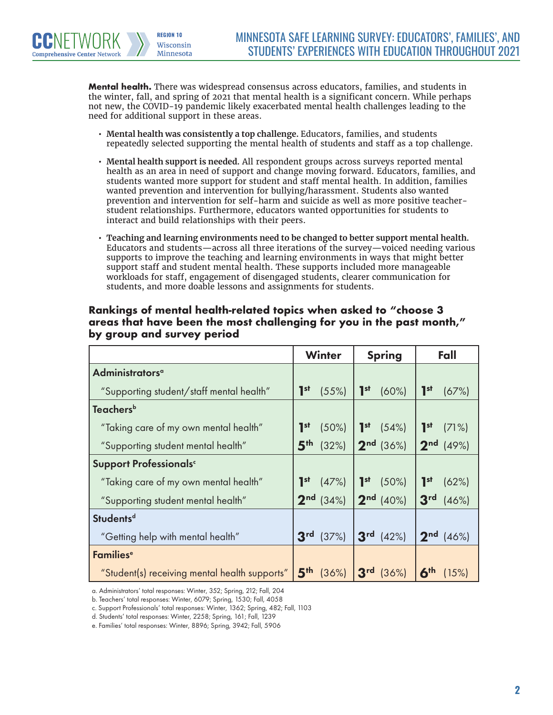**Mental health.** There was widespread consensus across educators, families, and students in the winter, fall, and spring of 2021 that mental health is a significant concern. While perhaps not new, the COVID-19 pandemic likely exacerbated mental health challenges leading to the need for additional support in these areas.

**REGION 10** Wisconsin Minnesota

**Comprehensive Center Network** 

- **• Mental health was consistently a top challenge.** Educators, families, and students repeatedly selected supporting the mental health of students and staff as a top challenge.
- **• Mental health support is needed.** All respondent groups across surveys reported mental health as an area in need of support and change moving forward. Educators, families, and students wanted more support for student and staff mental health. In addition, families wanted prevention and intervention for bullying/harassment. Students also wanted prevention and intervention for self-harm and suicide as well as more positive teacherstudent relationships. Furthermore, educators wanted opportunities for students to interact and build relationships with their peers.
- **• Teaching and learning environments need to be changed to better support mental health.** Educators and students—across all three iterations of the survey—voiced needing various supports to improve the teaching and learning environments in ways that might better support staff and student mental health. These supports included more manageable workloads for staff, engagement of disengaged students, clearer communication for students, and more doable lessons and assignments for students.

|                                               | <b>Winter</b>                     | <b>Spring</b>               | Fall                              |
|-----------------------------------------------|-----------------------------------|-----------------------------|-----------------------------------|
| Administrators <sup>a</sup>                   |                                   |                             |                                   |
| "Supporting student/staff mental health"      | $\mathbf{I}^{\text{st}}$<br>(55%) | I <sub>st</sub><br>(60%)    | $\mathbf{I}^{\text{st}}$<br>(67%) |
| <b>Teachers</b> <sup>b</sup>                  |                                   |                             |                                   |
| "Taking care of my own mental health"         | I <sub>st</sub><br>(50%)          | $1st$ (54%)                 | 1 <sup>st</sup><br>(71%)          |
| "Supporting student mental health"            | 5 <sup>th</sup><br>(32%)          | $2^{nd}$ (36%)              | $2^{nd}$ (49%)                    |
| Support Professionals <sup>c</sup>            |                                   |                             |                                   |
| "Taking care of my own mental health"         | $\mathbf{I}^{\text{st}}$<br>(47%) | 1 <sup>st</sup><br>$(50\%)$ | $\mathbf{I}^{\text{st}}$<br>(62%) |
| "Supporting student mental health"            | $2nd$ (34%)                       | $2nd$ (40%)                 | 3 <sup>rd</sup><br>(46%)          |
| <b>Studentsd</b>                              |                                   |                             |                                   |
| "Getting help with mental health"             | 3 <sup>rd</sup><br>(37%)          | $3rd$ (42%)                 | $2nd$ (46%)                       |
| Families <sup>e</sup>                         |                                   |                             |                                   |
| "Student(s) receiving mental health supports" | 5 <sup>th</sup><br>(36%)          | $3^{rd}$ (36%)              | 6 <sup>th</sup><br>(15%)          |

#### **Rankings of mental health-related topics when asked to "choose 3 areas that have been the most challenging for you in the past month," by group and survey period**

a. Administrators' total responses: Winter, 352; Spring, 212; Fall, 204

b. Teachers' total responses: Winter, 6079; Spring, 1530; Fall, 4058

c. Support Professionals' total responses: Winter, 1362; Spring, 482; Fall, 1103

d. Students' total responses: Winter, 2258; Spring, 161; Fall, 1239

e. Families' total responses: Winter, 8896; Spring, 3942; Fall, 5906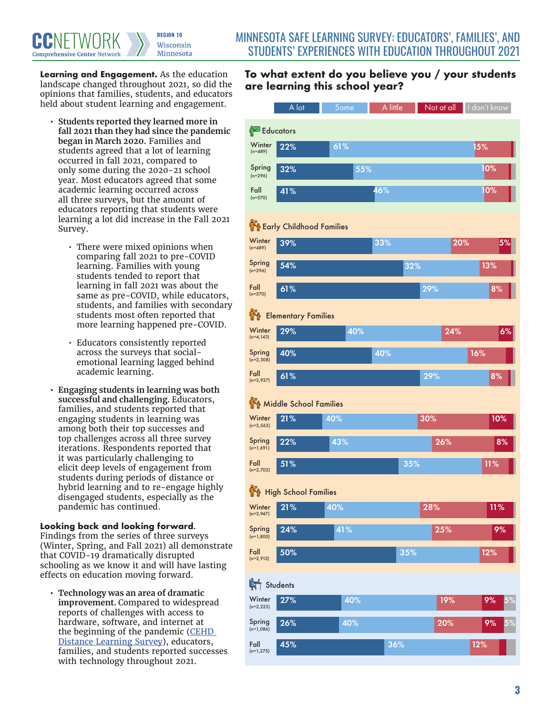**Learning and Engagement.** As the education landscape changed throughout 2021, so did the opinions that families, students, and educators held about student learning and engagement.

- **• Students reported they learned more in fall 2021 than they had since the pandemic began in March 2020.** Families and students agreed that a lot of learning occurred in fall 2021, compared to only some during the 2020-21 school year. Most educators agreed that some academic learning occurred across all three surveys, but the amount of educators reporting that students were learning a lot did increase in the Fall 2021 Survey.
	- There were mixed opinions when comparing fall 2021 to pre-COVID learning. Families with young students tended to report that learning in fall 2021 was about the same as pre-COVID, while educators, students, and families with secondary students most often reported that more learning happened pre-COVID.
	- Educators consistently reported across the surveys that socialemotional learning lagged behind academic learning.
- **• Engaging students in learning was both successful and challenging.** Educators, families, and students reported that engaging students in learning was among both their top successes and top challenges across all three survey iterations. Respondents reported that it was particularly challenging to elicit deep levels of engagement from students during periods of distance or hybrid learning and to re-engage highly disengaged students, especially as the pandemic has continued.

**Looking back and looking forward.** Findings from the series of three surveys (Winter, Spring, and Fall 2021) all demonstrate that COVID-19 dramatically disrupted schooling as we know it and will have lasting effects on education moving forward.

**• Technology was an area of dramatic improvement.** Compared to widespread reports of challenges with access to hardware, software, and internet at the beginning of the pandemic (CEHD [Distance Learning Survey\)](https://z.umn.edu/distancelearning), educators, families, and students reported successes with technology throughout 2021.

## To what extent do you believe you / your **To what extent do you believe you / your students**  are learning this school year? **All your**

|                               | A lot                               | Some | A little | Not at all | I don't know |  |  |  |
|-------------------------------|-------------------------------------|------|----------|------------|--------------|--|--|--|
| <b>Educators</b>              |                                     |      |          |            |              |  |  |  |
| Winter<br>$(n=489)$           | 22%                                 | 61%  |          |            | 15%          |  |  |  |
| Spring<br>$(n=296)$           | 32%                                 | 55%  |          |            | 10%          |  |  |  |
| Fall<br>$(n=570)$             | 41%                                 |      | 46%      |            | 10%          |  |  |  |
|                               |                                     |      |          |            |              |  |  |  |
| Winter                        | <b>The Early Childhood Families</b> |      |          |            |              |  |  |  |
| $(n=489)$                     | 39%                                 |      | 33%      | 20%        | $ 5\%$       |  |  |  |
| Spring<br>$(n=296)$           | 54%                                 |      | 32%      |            | 13%          |  |  |  |
| Fall<br>$(n=570)$             | 61%                                 |      |          | 29%        | 8%           |  |  |  |
| <b>TH</b> Elementary Families |                                     |      |          |            |              |  |  |  |
| Winter<br>$(n=4, 143)$        | 29%                                 | 40%  |          | 24%        | 6%           |  |  |  |
| Spring<br>$(n=2,308)$         | 40%                                 |      | 40%      |            | 16%          |  |  |  |
| Fall<br>$(n=3,937)$           | 61%                                 |      |          | 29%        | 8%           |  |  |  |
| Middle School Families        |                                     |      |          |            |              |  |  |  |
| Winter<br>$(n=3,563)$         | 21%                                 | 40%  |          | 30%        | 10%          |  |  |  |
| Spring<br>$(n=1,691)$         | 22%                                 | 43%  |          | 26%        | 8%           |  |  |  |
| Fall<br>$(n=2,702)$           | 51%                                 |      | 35%      |            | 11%          |  |  |  |
| High School Families          |                                     |      |          |            |              |  |  |  |
| Winter<br>$(n=3,947)$         | 21%                                 | 40%  |          | 28%        | $11\%$       |  |  |  |
| Spring                        | 24%                                 | 41%  |          | 25%        | 9%           |  |  |  |
| $(n=1,800)$<br>Fall           | 50%                                 |      | 35%      |            | 12%          |  |  |  |
| $(n=2,912)$                   |                                     |      |          |            |              |  |  |  |
| Students                      |                                     |      |          |            |              |  |  |  |
| Winter<br>$(n=2,225)$         | 27%                                 | 40%  |          | 19%        | 5%<br>9%     |  |  |  |
| Spring<br>$(n=1,086)$         | 26%                                 | 40%  |          | 20%        | 5%<br>9%     |  |  |  |
| Fall<br>$(n=1,275)$           | 45%                                 |      | 36%      |            | 12%          |  |  |  |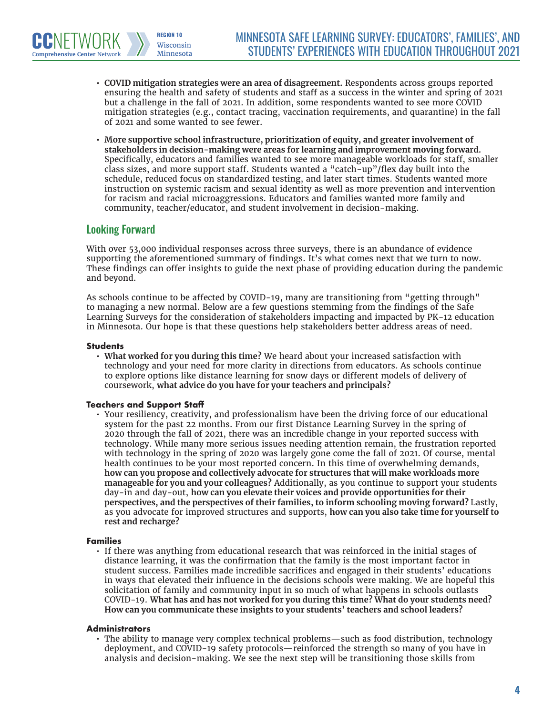- **• COVID mitigation strategies were an area of disagreement.** Respondents across groups reported ensuring the health and safety of students and staff as a success in the winter and spring of 2021 but a challenge in the fall of 2021. In addition, some respondents wanted to see more COVID mitigation strategies (e.g., contact tracing, vaccination requirements, and quarantine) in the fall of 2021 and some wanted to see fewer.
- **• More supportive school infrastructure, prioritization of equity, and greater involvement of stakeholders in decision-making were areas for learning and improvement moving forward.**  Specifically, educators and families wanted to see more manageable workloads for staff, smaller class sizes, and more support staff. Students wanted a "catch-up"/flex day built into the schedule, reduced focus on standardized testing, and later start times. Students wanted more instruction on systemic racism and sexual identity as well as more prevention and intervention for racism and racial microaggressions. Educators and families wanted more family and community, teacher/educator, and student involvement in decision-making.

### Looking Forward

**Comprehensive Center Network** 

**REGION 10** Wisconsin Minnesota

With over 53,000 individual responses across three surveys, there is an abundance of evidence supporting the aforementioned summary of findings. It's what comes next that we turn to now. These findings can offer insights to guide the next phase of providing education during the pandemic and beyond.

As schools continue to be affected by COVID-19, many are transitioning from "getting through" to managing a new normal. Below are a few questions stemming from the findings of the Safe Learning Surveys for the consideration of stakeholders impacting and impacted by PK-12 education in Minnesota. Our hope is that these questions help stakeholders better address areas of need.

#### **Students**

**• What worked for you during this time?** We heard about your increased satisfaction with technology and your need for more clarity in directions from educators. As schools continue to explore options like distance learning for snow days or different models of delivery of coursework, **what advice do you have for your teachers and principals?**

#### **Teachers and Support Staff**

• Your resiliency, creativity, and professionalism have been the driving force of our educational system for the past 22 months. From our first Distance Learning Survey in the spring of 2020 through the fall of 2021, there was an incredible change in your reported success with technology. While many more serious issues needing attention remain, the frustration reported with technology in the spring of 2020 was largely gone come the fall of 2021. Of course, mental health continues to be your most reported concern. In this time of overwhelming demands, **how can you propose and collectively advocate for structures that will make workloads more manageable for you and your colleagues?** Additionally, as you continue to support your students day-in and day-out, **how can you elevate their voices and provide opportunities for their perspectives, and the perspectives of their families, to inform schooling moving forward?** Lastly, as you advocate for improved structures and supports, **how can you also take time for yourself to rest and recharge?**

#### **Families**

• If there was anything from educational research that was reinforced in the initial stages of distance learning, it was the confirmation that the family is the most important factor in student success. Families made incredible sacrifices and engaged in their students' educations in ways that elevated their influence in the decisions schools were making. We are hopeful this solicitation of family and community input in so much of what happens in schools outlasts COVID-19. **What has and has not worked for you during this time? What do your students need? How can you communicate these insights to your students' teachers and school leaders?** 

#### **Administrators**

• The ability to manage very complex technical problems—such as food distribution, technology deployment, and COVID-19 safety protocols—reinforced the strength so many of you have in analysis and decision-making. We see the next step will be transitioning those skills from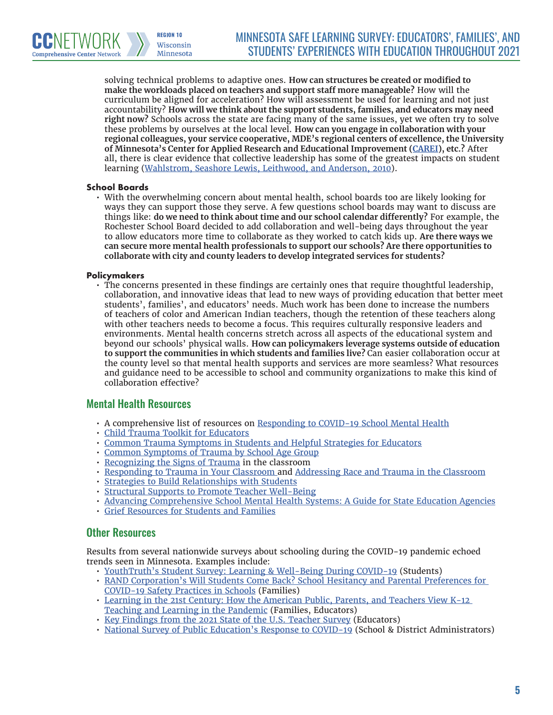solving technical problems to adaptive ones. **How can structures be created or modified to make the workloads placed on teachers and support staff more manageable?** How will the curriculum be aligned for acceleration? How will assessment be used for learning and not just accountability? **How will we think about the support students, families, and educators may need right now?** Schools across the state are facing many of the same issues, yet we often try to solve these problems by ourselves at the local level. **How can you engage in collaboration with your regional colleagues, your service cooperative, MDE's regional centers of excellence, the University of Minnesota's Center for Applied Research and Educational Improvement [\(CAREI](https://carei.umn.edu/)), etc.?** After all, there is clear evidence that collective leadership has some of the greatest impacts on student learning [\(Wahlstrom, Seashore Lewis, Leithwood, and Anderson, 2010](https://www.wallacefoundation.org/knowledge-center/pages/investigating-the-links-to-improved-student-learning.aspx)).

#### **School Boards**

**Comprehensive Center Network** 

**REGION 10** Wisconsin Minnesota

• With the overwhelming concern about mental health, school boards too are likely looking for ways they can support those they serve. A few questions school boards may want to discuss are things like: **do we need to think about time and our school calendar differently?** For example, the Rochester School Board decided to add collaboration and well-being days throughout the year to allow educators more time to collaborate as they worked to catch kids up. **Are there ways we can secure more mental health professionals to support our schools? Are there opportunities to collaborate with city and county leaders to develop integrated services for students?**

#### **Policymakers**

• The concerns presented in these findings are certainly ones that require thoughtful leadership, collaboration, and innovative ideas that lead to new ways of providing education that better meet students', families', and educators' needs. Much work has been done to increase the numbers of teachers of color and American Indian teachers, though the retention of these teachers along with other teachers needs to become a focus. This requires culturally responsive leaders and environments. Mental health concerns stretch across all aspects of the educational system and beyond our schools' physical walls. **How can policymakers leverage systems outside of education to support the communities in which students and families live?** Can easier collaboration occur at the county level so that mental health supports and services are more seamless? What resources and guidance need to be accessible to school and community organizations to make this kind of collaboration effective?

#### Mental Health Resources

- A comprehensive list of resources on [Responding to COVID-19 School Mental Health](https://mhttcnetwork.org/centers/global-mhttc/responding-covid-19-school-mental-health-resources)
- [Child Trauma Toolkit for Educators](https://wmich.edu/sites/default/files/attachments/u57/2013/child-trauma-toolkit.pdf)
- [Common Trauma Symptoms in Students and Helpful Strategies for Educators](https://ies.ed.gov/ncee/edlabs/regions/appalachia/events/materials/04-8-20-Handout3_common-trauma-symptoms-and-helpful-strategies-for-educators.pdf)
- [Common Symptoms of Trauma by School Age Group](https://safesupportivelearning.ed.gov/sites/default/files/SP2L16%20Hndt_SymptomsTraumaSchoolAge.pdf)
- [Recognizing the Signs of Trauma](https://www.edutopia.org/article/recognizing-signs-trauma) in the classroom
- [Responding to Trauma in Your Classroom](https://www.learningforjustice.org/magazine/spring-2016/responding-to-trauma-in-your-classroom) and [Addressing Race and Trauma in the Classroom](https://www.nctsn.org/sites/default/files/resources/addressing_race_and_trauma_in_the_classroom_educators.pdf)
- [Strategies to Build Relationships with Students](https://turnaroundusa.org/wp-content/uploads/2020/06/BuildingRelationships-WestEd.pdf)
- [Structural Supports to Promote Teacher Well-Being](https://annenberg.brown.edu/sites/default/files/EdResearch_for_Recovery_Brief_19.pdf)
- [Advancing Comprehensive School Mental Health Systems: A Guide for State Education Agencies](https://753a0706.flowpaper.com/CCSSOMentalHealthResource/#page=1)
- [Grief Resources for Students and Families](https://www.dougy.org/grief-support-resources)

#### Other Resources

Results from several nationwide surveys about schooling during the COVID-19 pandemic echoed trends seen in Minnesota. Examples include:

- [YouthTruth's Student Survey: Learning & Well-Being During COVID-19](https://youthtruthsurvey.org/resources/#SWI) (Students)
- [RAND Corporation's Will Students Come Back? School Hesitancy and Parental Preferences for](https://www.rockefellerfoundation.org/report/july-2021-parent-survey-about-school-hesitancy-and-preferences-for-covid-19-safety-practices-in-schools/)  [COVID-19 Safety Practices in Schools](https://www.rockefellerfoundation.org/report/july-2021-parent-survey-about-school-hesitancy-and-preferences-for-covid-19-safety-practices-in-schools/) (Families)
- [Learning in the 21st Century: How the American Public, Parents, and Teachers View K-12](https://digitalpromise.org/2021/05/13/new-national-survey-analyzes-impact-of-covid-19-on-teaching-and-learning/)  [Teaching and Learning in the Pandemic](https://digitalpromise.org/2021/05/13/new-national-survey-analyzes-impact-of-covid-19-on-teaching-and-learning/) (Families, Educators)
- [Key Findings from the 2021 State of the U.S. Teacher Survey](https://www.rand.org/pubs/research_reports/RRA1108-1.html) (Educators)
- [National Survey of Public Education's Response to COVID-19](https://www.air.org/project/national-survey-public-educations-response-covid-19) (School & District Administrators)